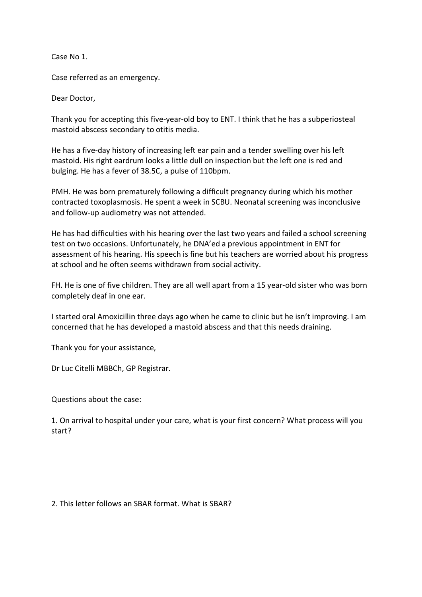Case No 1.

Case referred as an emergency.

Dear Doctor,

Thank you for accepting this five-year-old boy to ENT. I think that he has a subperiosteal mastoid abscess secondary to otitis media.

He has a five-day history of increasing left ear pain and a tender swelling over his left mastoid. His right eardrum looks a little dull on inspection but the left one is red and bulging. He has a fever of 38.5C, a pulse of 110bpm.

PMH. He was born prematurely following a difficult pregnancy during which his mother contracted toxoplasmosis. He spent a week in SCBU. Neonatal screening was inconclusive and follow-up audiometry was not attended.

He has had difficulties with his hearing over the last two years and failed a school screening test on two occasions. Unfortunately, he DNA'ed a previous appointment in ENT for assessment of his hearing. His speech is fine but his teachers are worried about his progress at school and he often seems withdrawn from social activity.

FH. He is one of five children. They are all well apart from a 15 year-old sister who was born completely deaf in one ear.

I started oral Amoxicillin three days ago when he came to clinic but he isn't improving. I am concerned that he has developed a mastoid abscess and that this needs draining.

Thank you for your assistance,

Dr Luc Citelli MBBCh, GP Registrar.

Questions about the case:

1. On arrival to hospital under your care, what is your first concern? What process will you start?

2. This letter follows an SBAR format. What is SBAR?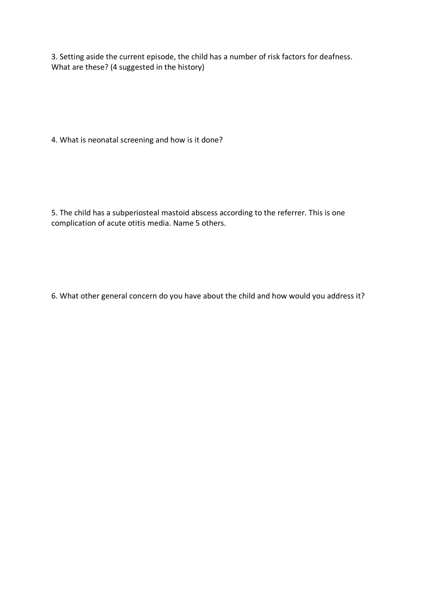3. Setting aside the current episode, the child has a number of risk factors for deafness. What are these? (4 suggested in the history)

4. What is neonatal screening and how is it done?

5. The child has a subperiosteal mastoid abscess according to the referrer. This is one complication of acute otitis media. Name 5 others.

6. What other general concern do you have about the child and how would you address it?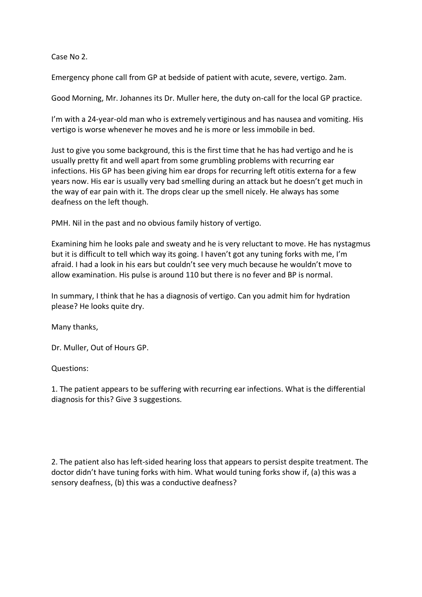Case No 2.

Emergency phone call from GP at bedside of patient with acute, severe, vertigo. 2am.

Good Morning, Mr. Johannes its Dr. Muller here, the duty on-call for the local GP practice.

I'm with a 24-year-old man who is extremely vertiginous and has nausea and vomiting. His vertigo is worse whenever he moves and he is more or less immobile in bed.

Just to give you some background, this is the first time that he has had vertigo and he is usually pretty fit and well apart from some grumbling problems with recurring ear infections. His GP has been giving him ear drops for recurring left otitis externa for a few years now. His ear is usually very bad smelling during an attack but he doesn't get much in the way of ear pain with it. The drops clear up the smell nicely. He always has some deafness on the left though.

PMH. Nil in the past and no obvious family history of vertigo.

Examining him he looks pale and sweaty and he is very reluctant to move. He has nystagmus but it is difficult to tell which way its going. I haven't got any tuning forks with me, I'm afraid. I had a look in his ears but couldn't see very much because he wouldn't move to allow examination. His pulse is around 110 but there is no fever and BP is normal.

In summary, I think that he has a diagnosis of vertigo. Can you admit him for hydration please? He looks quite dry.

Many thanks,

Dr. Muller, Out of Hours GP.

Questions:

1. The patient appears to be suffering with recurring ear infections. What is the differential diagnosis for this? Give 3 suggestions.

2. The patient also has left-sided hearing loss that appears to persist despite treatment. The doctor didn't have tuning forks with him. What would tuning forks show if, (a) this was a sensory deafness, (b) this was a conductive deafness?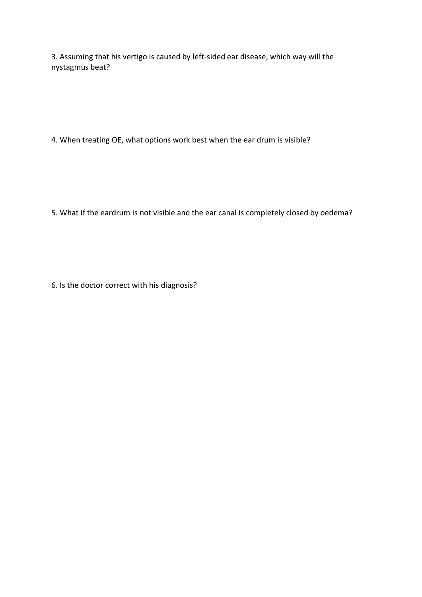3. Assuming that his vertigo is caused by left-sided ear disease, which way will the nystagmus beat?

4. When treating OE, what options work best when the ear drum is visible?

5. What if the eardrum is not visible and the ear canal is completely closed by oedema?

6. Is the doctor correct with his diagnosis?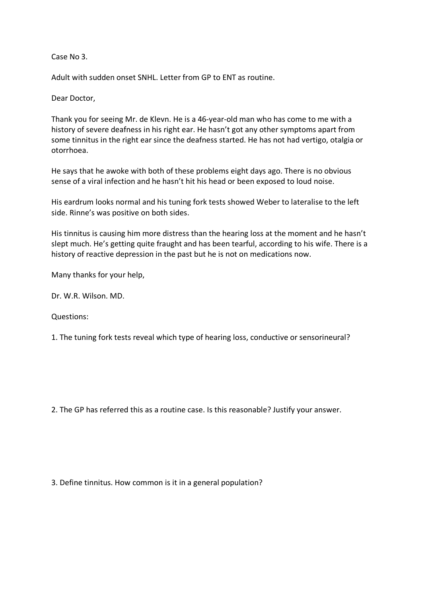Case No 3.

Adult with sudden onset SNHL. Letter from GP to ENT as routine.

Dear Doctor,

Thank you for seeing Mr. de Klevn. He is a 46-year-old man who has come to me with a history of severe deafness in his right ear. He hasn't got any other symptoms apart from some tinnitus in the right ear since the deafness started. He has not had vertigo, otalgia or otorrhoea.

He says that he awoke with both of these problems eight days ago. There is no obvious sense of a viral infection and he hasn't hit his head or been exposed to loud noise.

His eardrum looks normal and his tuning fork tests showed Weber to lateralise to the left side. Rinne's was positive on both sides.

His tinnitus is causing him more distress than the hearing loss at the moment and he hasn't slept much. He's getting quite fraught and has been tearful, according to his wife. There is a history of reactive depression in the past but he is not on medications now.

Many thanks for your help,

Dr. W.R. Wilson. MD.

Questions:

1. The tuning fork tests reveal which type of hearing loss, conductive or sensorineural?

2. The GP has referred this as a routine case. Is this reasonable? Justify your answer.

3. Define tinnitus. How common is it in a general population?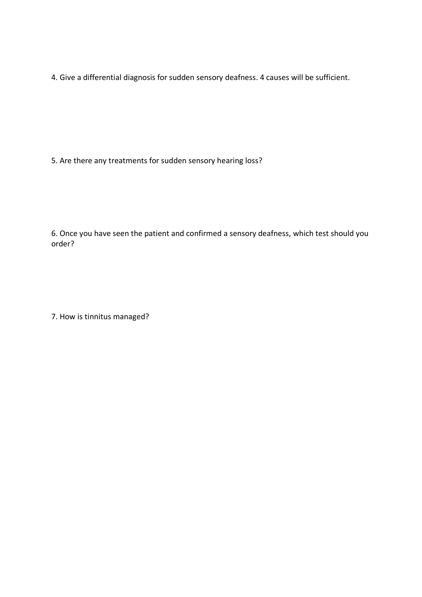4. Give a differential diagnosis for sudden sensory deafness. 4 causes will be sufficient.

5. Are there any treatments for sudden sensory hearing loss?

6. Once you have seen the patient and confirmed a sensory deafness, which test should you order?

7. How is tinnitus managed?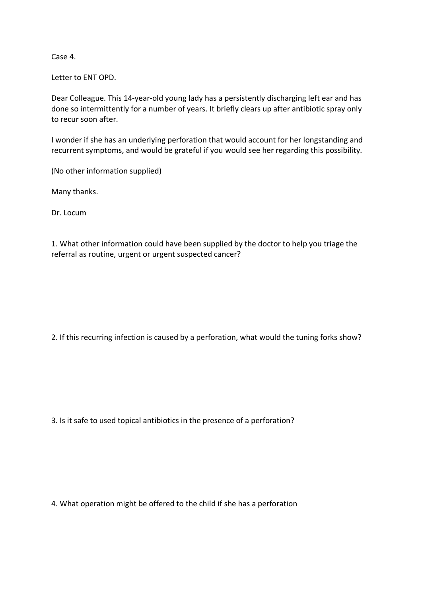Case 4.

Letter to ENT OPD.

Dear Colleague. This 14-year-old young lady has a persistently discharging left ear and has done so intermittently for a number of years. It briefly clears up after antibiotic spray only to recur soon after.

I wonder if she has an underlying perforation that would account for her longstanding and recurrent symptoms, and would be grateful if you would see her regarding this possibility.

(No other information supplied)

Many thanks.

Dr. Locum

1. What other information could have been supplied by the doctor to help you triage the referral as routine, urgent or urgent suspected cancer?

2. If this recurring infection is caused by a perforation, what would the tuning forks show?

3. Is it safe to used topical antibiotics in the presence of a perforation?

4. What operation might be offered to the child if she has a perforation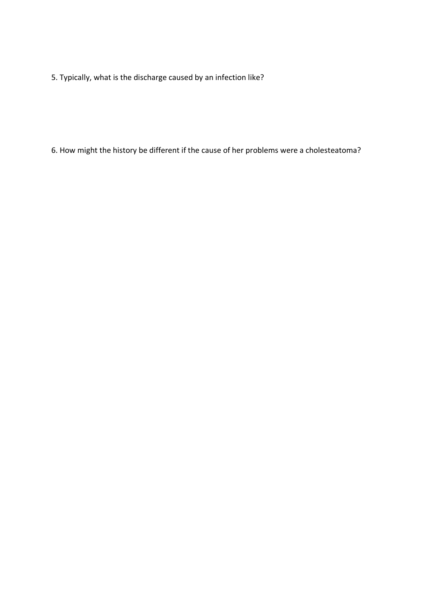5. Typically, what is the discharge caused by an infection like?

6. How might the history be different if the cause of her problems were a cholesteatoma?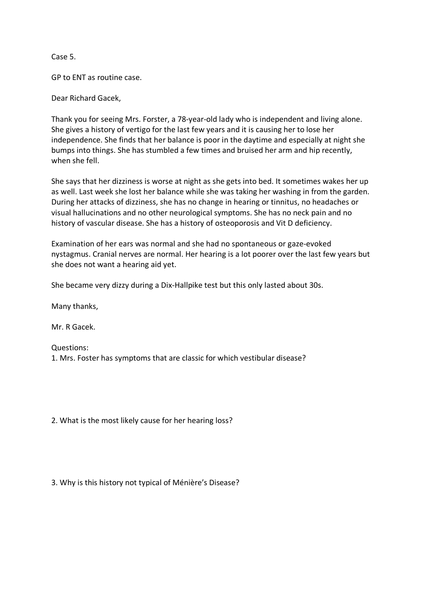Case 5.

GP to ENT as routine case.

Dear Richard Gacek,

Thank you for seeing Mrs. Forster, a 78-year-old lady who is independent and living alone. She gives a history of vertigo for the last few years and it is causing her to lose her independence. She finds that her balance is poor in the daytime and especially at night she bumps into things. She has stumbled a few times and bruised her arm and hip recently, when she fell.

She says that her dizziness is worse at night as she gets into bed. It sometimes wakes her up as well. Last week she lost her balance while she was taking her washing in from the garden. During her attacks of dizziness, she has no change in hearing or tinnitus, no headaches or visual hallucinations and no other neurological symptoms. She has no neck pain and no history of vascular disease. She has a history of osteoporosis and Vit D deficiency.

Examination of her ears was normal and she had no spontaneous or gaze-evoked nystagmus. Cranial nerves are normal. Her hearing is a lot poorer over the last few years but she does not want a hearing aid yet.

She became very dizzy during a Dix-Hallpike test but this only lasted about 30s.

Many thanks,

Mr. R Gacek.

Questions:

1. Mrs. Foster has symptoms that are classic for which vestibular disease?

2. What is the most likely cause for her hearing loss?

3. Why is this history not typical of Ménière's Disease?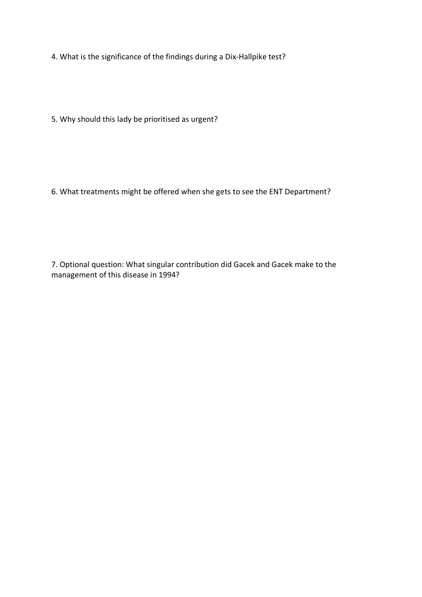4. What is the significance of the findings during a Dix-Hallpike test?

5. Why should this lady be prioritised as urgent?

6. What treatments might be offered when she gets to see the ENT Department?

7. Optional question: What singular contribution did Gacek and Gacek make to the management of this disease in 1994?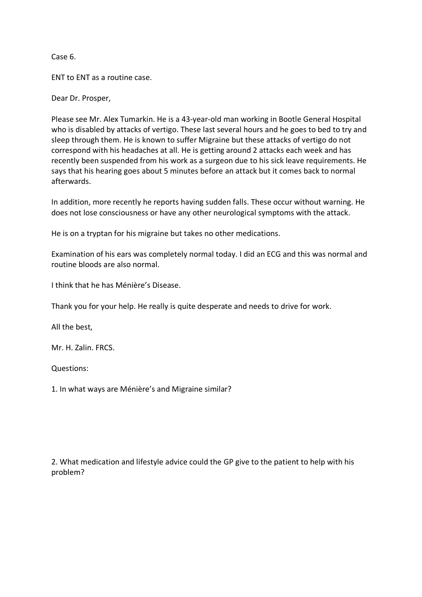Case 6.

ENT to ENT as a routine case.

Dear Dr. Prosper,

Please see Mr. Alex Tumarkin. He is a 43-year-old man working in Bootle General Hospital who is disabled by attacks of vertigo. These last several hours and he goes to bed to try and sleep through them. He is known to suffer Migraine but these attacks of vertigo do not correspond with his headaches at all. He is getting around 2 attacks each week and has recently been suspended from his work as a surgeon due to his sick leave requirements. He says that his hearing goes about 5 minutes before an attack but it comes back to normal afterwards.

In addition, more recently he reports having sudden falls. These occur without warning. He does not lose consciousness or have any other neurological symptoms with the attack.

He is on a tryptan for his migraine but takes no other medications.

Examination of his ears was completely normal today. I did an ECG and this was normal and routine bloods are also normal.

I think that he has Ménière's Disease.

Thank you for your help. He really is quite desperate and needs to drive for work.

All the best,

Mr. H. Zalin. FRCS.

Questions:

1. In what ways are Ménière's and Migraine similar?

2. What medication and lifestyle advice could the GP give to the patient to help with his problem?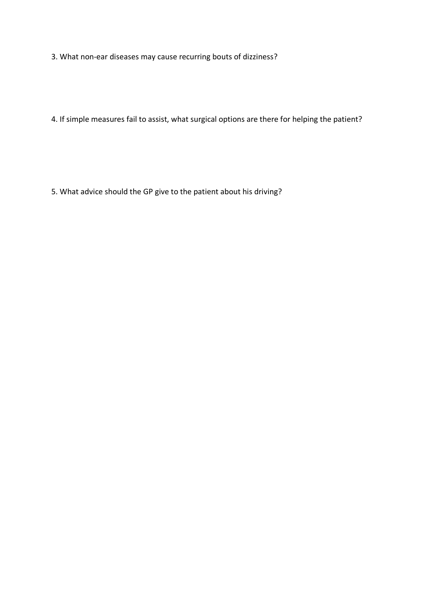3. What non-ear diseases may cause recurring bouts of dizziness?

4. If simple measures fail to assist, what surgical options are there for helping the patient?

5. What advice should the GP give to the patient about his driving?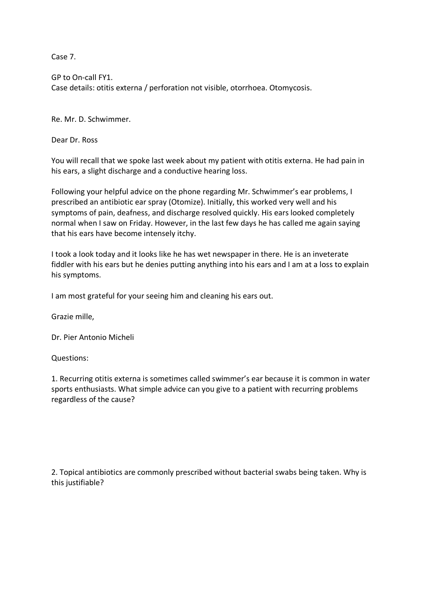Case 7.

GP to On-call FY1. Case details: otitis externa / perforation not visible, otorrhoea. Otomycosis.

Re. Mr. D. Schwimmer.

Dear Dr. Ross

You will recall that we spoke last week about my patient with otitis externa. He had pain in his ears, a slight discharge and a conductive hearing loss.

Following your helpful advice on the phone regarding Mr. Schwimmer's ear problems, I prescribed an antibiotic ear spray (Otomize). Initially, this worked very well and his symptoms of pain, deafness, and discharge resolved quickly. His ears looked completely normal when I saw on Friday. However, in the last few days he has called me again saying that his ears have become intensely itchy.

I took a look today and it looks like he has wet newspaper in there. He is an inveterate fiddler with his ears but he denies putting anything into his ears and I am at a loss to explain his symptoms.

I am most grateful for your seeing him and cleaning his ears out.

Grazie mille,

Dr. Pier Antonio Micheli

Questions:

1. Recurring otitis externa is sometimes called swimmer's ear because it is common in water sports enthusiasts. What simple advice can you give to a patient with recurring problems regardless of the cause?

2. Topical antibiotics are commonly prescribed without bacterial swabs being taken. Why is this justifiable?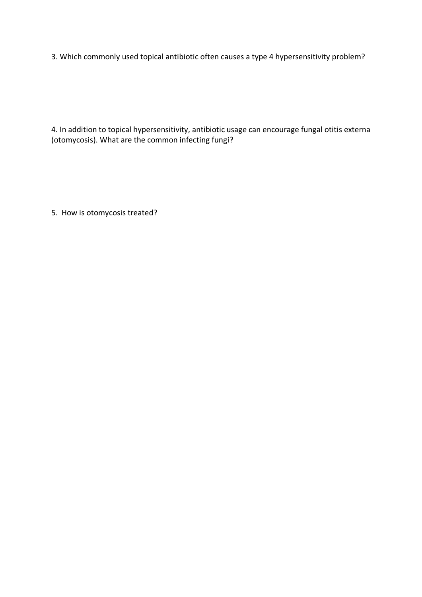3. Which commonly used topical antibiotic often causes a type 4 hypersensitivity problem?

4. In addition to topical hypersensitivity, antibiotic usage can encourage fungal otitis externa (otomycosis). What are the common infecting fungi?

5. How is otomycosis treated?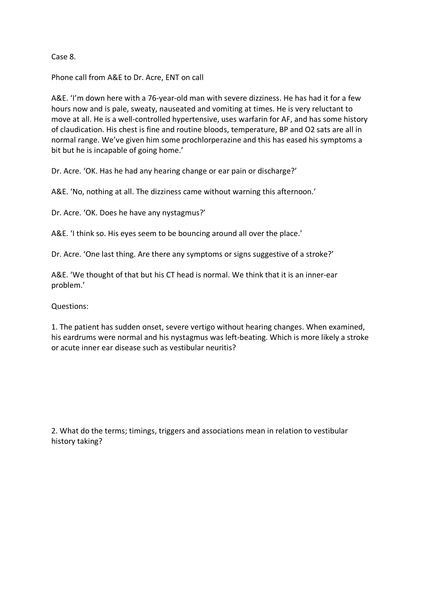Case 8.

Phone call from A&E to Dr. Acre, ENT on call

A&E. 'I'm down here with a 76-year-old man with severe dizziness. He has had it for a few hours now and is pale, sweaty, nauseated and vomiting at times. He is very reluctant to move at all. He is a well-controlled hypertensive, uses warfarin for AF, and has some history of claudication. His chest is fine and routine bloods, temperature, BP and O2 sats are all in normal range. We've given him some prochlorperazine and this has eased his symptoms a bit but he is incapable of going home.'

Dr. Acre. 'OK. Has he had any hearing change or ear pain or discharge?'

A&E. 'No, nothing at all. The dizziness came without warning this afternoon.'

Dr. Acre. 'OK. Does he have any nystagmus?'

A&E. 'I think so. His eyes seem to be bouncing around all over the place.'

Dr. Acre. 'One last thing. Are there any symptoms or signs suggestive of a stroke?'

A&E. 'We thought of that but his CT head is normal. We think that it is an inner-ear problem.'

Questions:

1. The patient has sudden onset, severe vertigo without hearing changes. When examined, his eardrums were normal and his nystagmus was left-beating. Which is more likely a stroke or acute inner ear disease such as vestibular neuritis?

2. What do the terms; timings, triggers and associations mean in relation to vestibular history taking?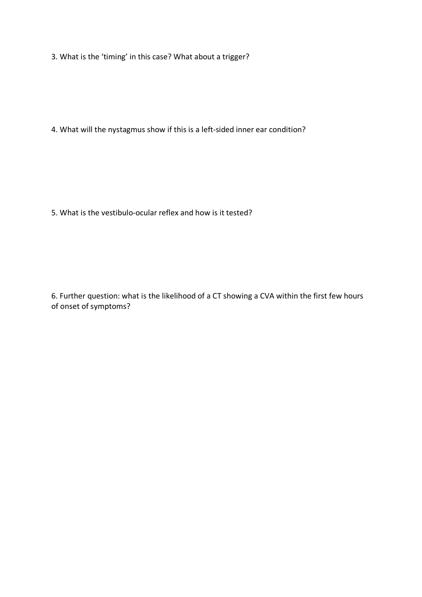3. What is the 'timing' in this case? What about a trigger?

4. What will the nystagmus show if this is a left-sided inner ear condition?

5. What is the vestibulo-ocular reflex and how is it tested?

6. Further question: what is the likelihood of a CT showing a CVA within the first few hours of onset of symptoms?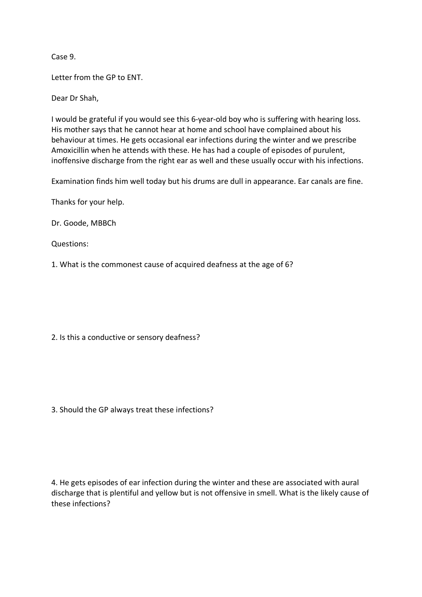Case 9.

Letter from the GP to ENT.

Dear Dr Shah,

I would be grateful if you would see this 6-year-old boy who is suffering with hearing loss. His mother says that he cannot hear at home and school have complained about his behaviour at times. He gets occasional ear infections during the winter and we prescribe Amoxicillin when he attends with these. He has had a couple of episodes of purulent, inoffensive discharge from the right ear as well and these usually occur with his infections.

Examination finds him well today but his drums are dull in appearance. Ear canals are fine.

Thanks for your help.

Dr. Goode, MBBCh

Questions:

1. What is the commonest cause of acquired deafness at the age of 6?

2. Is this a conductive or sensory deafness?

3. Should the GP always treat these infections?

4. He gets episodes of ear infection during the winter and these are associated with aural discharge that is plentiful and yellow but is not offensive in smell. What is the likely cause of these infections?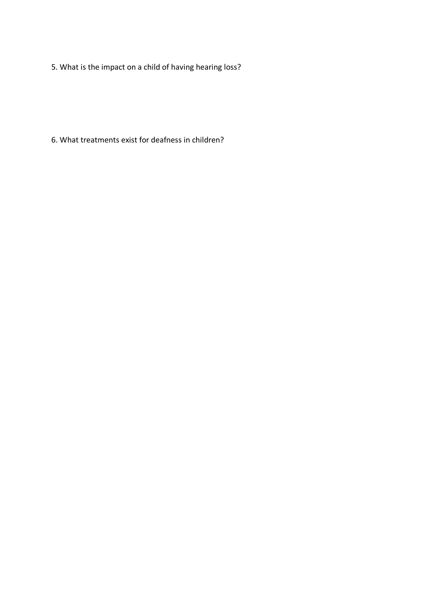5. What is the impact on a child of having hearing loss?

6. What treatments exist for deafness in children?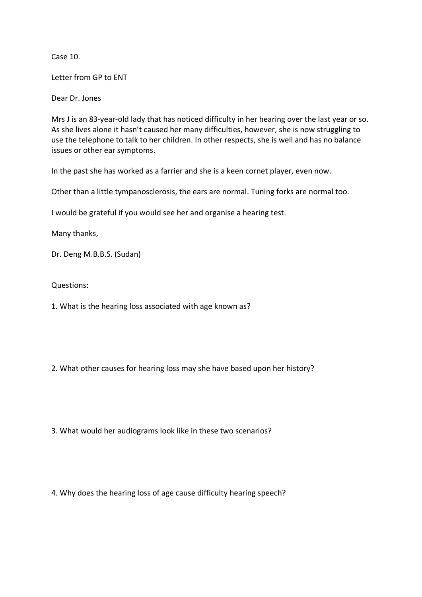Case 10.

Letter from GP to ENT

Dear Dr. Jones

Mrs J is an 83-year-old lady that has noticed difficulty in her hearing over the last year or so. As she lives alone it hasn't caused her many difficulties, however, she is now struggling to use the telephone to talk to her children. In other respects, she is well and has no balance issues or other ear symptoms.

In the past she has worked as a farrier and she is a keen cornet player, even now.

Other than a little tympanosclerosis, the ears are normal. Tuning forks are normal too.

I would be grateful if you would see her and organise a hearing test.

Many thanks,

Dr. Deng M.B.B.S. (Sudan)

Questions:

1. What is the hearing loss associated with age known as?

2. What other causes for hearing loss may she have based upon her history?

3. What would her audiograms look like in these two scenarios?

4. Why does the hearing loss of age cause difficulty hearing speech?